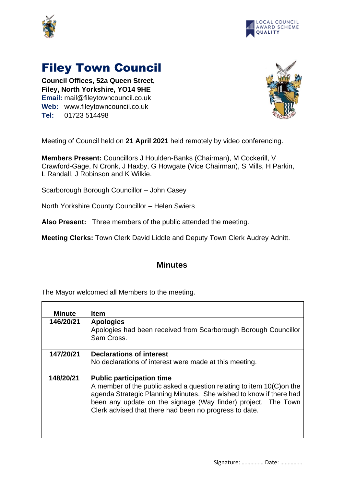



## Filey Town Council

**Council Offices, 52a Queen Street, Filey, North Yorkshire, YO14 9HE Email:** mail@fileytowncouncil.co.uk **Web:** www.fileytowncouncil.co.uk **Tel:** 01723 514498



Meeting of Council held on **21 April 2021** held remotely by video conferencing.

**Members Present:** Councillors J Houlden-Banks (Chairman), M Cockerill, V Crawford-Gage, N Cronk, J Haxby, G Howgate (Vice Chairman), S Mills, H Parkin, L Randall, J Robinson and K Wilkie.

Scarborough Borough Councillor – John Casey

North Yorkshire County Councillor – Helen Swiers

**Also Present:** Three members of the public attended the meeting.

**Meeting Clerks:** Town Clerk David Liddle and Deputy Town Clerk Audrey Adnitt.

## **Minutes**

The Mayor welcomed all Members to the meeting.

| Minute    | <b>Item</b>                                                                                                                                                                                                                                                                                                |
|-----------|------------------------------------------------------------------------------------------------------------------------------------------------------------------------------------------------------------------------------------------------------------------------------------------------------------|
| 146/20/21 | <b>Apologies</b><br>Apologies had been received from Scarborough Borough Councillor<br>Sam Cross.                                                                                                                                                                                                          |
| 147/20/21 | <b>Declarations of interest</b><br>No declarations of interest were made at this meeting.                                                                                                                                                                                                                  |
| 148/20/21 | <b>Public participation time</b><br>A member of the public asked a question relating to item 10(C) on the<br>agenda Strategic Planning Minutes. She wished to know if there had<br>been any update on the signage (Way finder) project. The Town<br>Clerk advised that there had been no progress to date. |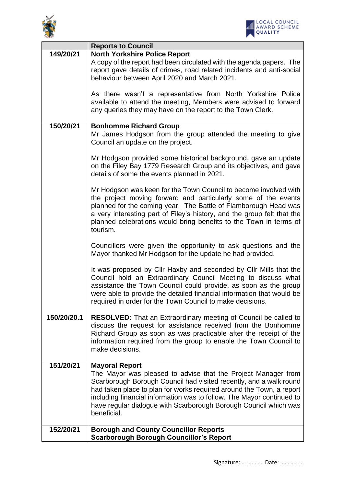



|             | <b>Reports to Council</b>                                                                                                                                                                                                                                                                                                                                                                        |
|-------------|--------------------------------------------------------------------------------------------------------------------------------------------------------------------------------------------------------------------------------------------------------------------------------------------------------------------------------------------------------------------------------------------------|
| 149/20/21   | <b>North Yorkshire Police Report</b><br>A copy of the report had been circulated with the agenda papers. The<br>report gave details of crimes, road related incidents and anti-social<br>behaviour between April 2020 and March 2021.                                                                                                                                                            |
|             | As there wasn't a representative from North Yorkshire Police<br>available to attend the meeting, Members were advised to forward<br>any queries they may have on the report to the Town Clerk.                                                                                                                                                                                                   |
| 150/20/21   | <b>Bonhomme Richard Group</b><br>Mr James Hodgson from the group attended the meeting to give<br>Council an update on the project.                                                                                                                                                                                                                                                               |
|             | Mr Hodgson provided some historical background, gave an update<br>on the Filey Bay 1779 Research Group and its objectives, and gave<br>details of some the events planned in 2021.                                                                                                                                                                                                               |
|             | Mr Hodgson was keen for the Town Council to become involved with<br>the project moving forward and particularly some of the events<br>planned for the coming year. The Battle of Flamborough Head was<br>a very interesting part of Filey's history, and the group felt that the<br>planned celebrations would bring benefits to the Town in terms of<br>tourism.                                |
|             | Councillors were given the opportunity to ask questions and the<br>Mayor thanked Mr Hodgson for the update he had provided.                                                                                                                                                                                                                                                                      |
|             | It was proposed by CIIr Haxby and seconded by CIIr Mills that the<br>Council hold an Extraordinary Council Meeting to discuss what<br>assistance the Town Council could provide, as soon as the group<br>were able to provide the detailed financial information that would be<br>required in order for the Town Council to make decisions.                                                      |
| 150/20/20.1 | <b>RESOLVED:</b> That an Extraordinary meeting of Council be called to<br>discuss the request for assistance received from the Bonhomme<br>Richard Group as soon as was practicable after the receipt of the<br>information required from the group to enable the Town Council to<br>make decisions.                                                                                             |
| 151/20/21   | <b>Mayoral Report</b><br>The Mayor was pleased to advise that the Project Manager from<br>Scarborough Borough Council had visited recently, and a walk round<br>had taken place to plan for works required around the Town, a report<br>including financial information was to follow. The Mayor continued to<br>have regular dialogue with Scarborough Borough Council which was<br>beneficial. |
| 152/20/21   | <b>Borough and County Councillor Reports</b><br><b>Scarborough Borough Councillor's Report</b>                                                                                                                                                                                                                                                                                                   |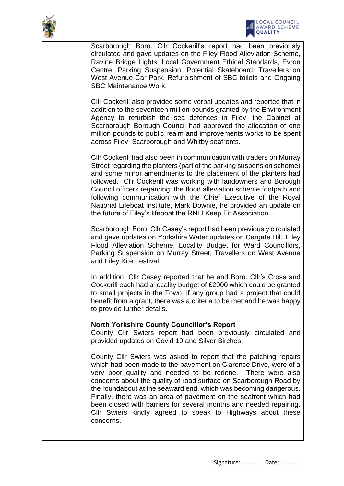



Scarborough Boro. Cllr Cockerill's report had been previously circulated and gave updates on the Filey Flood Alleviation Scheme, Ravine Bridge Lights, Local Government Ethical Standards, Evron Centre, Parking Suspension, Potential Skateboard, Travellers on West Avenue Car Park, Refurbishment of SBC toilets and Ongoing SBC Maintenance Work.

Cllr Cockerill also provided some verbal updates and reported that in addition to the seventeen million pounds granted by the Environment Agency to refurbish the sea defences in Filey, the Cabinet at Scarborough Borough Council had approved the allocation of one million pounds to public realm and improvements works to be spent across Filey, Scarborough and Whitby seafronts.

Cllr Cockerill had also been in communication with traders on Murray Street regarding the planters (part of the parking suspension scheme) and some minor amendments to the placement of the planters had followed. Cllr Cockerill was working with landowners and Borough Council officers regarding the flood alleviation scheme footpath and following communication with the Chief Executive of the Royal National Lifeboat Institute, Mark Downie, he provided an update on the future of Filey's lifeboat the RNLI Keep Fit Association.

Scarborough Boro. Cllr Casey's report had been previously circulated and gave updates on Yorkshire Water updates on Cargate Hill, Filey Flood Alleviation Scheme, Locality Budget for Ward Councillors, Parking Suspension on Murray Street, Travellers on West Avenue and Filey Kite Festival.

In addition, Cllr Casey reported that he and Boro. Cllr's Cross and Cockerill each had a locality budget of £2000 which could be granted to small projects in the Town, if any group had a project that could benefit from a grant, there was a criteria to be met and he was happy to provide further details.

## **North Yorkshire County Councillor's Report**

County Cllr Swiers report had been previously circulated and provided updates on Covid 19 and Silver Birches.

County Cllr Swiers was asked to report that the patching repairs which had been made to the pavement on Clarence Drive, were of a very poor quality and needed to be redone. There were also concerns about the quality of road surface on Scarborough Road by the roundabout at the seaward end, which was becoming dangerous. Finally, there was an area of pavement on the seafront which had been closed with barriers for several months and needed repairing. Cllr Swiers kindly agreed to speak to Highways about these concerns.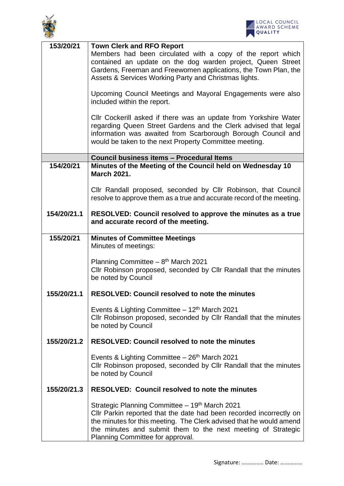



| 153/20/21   | <b>Town Clerk and RFO Report</b><br>Members had been circulated with a copy of the report which<br>contained an update on the dog warden project, Queen Street<br>Gardens, Freeman and Freewomen applications, the Town Plan, the<br>Assets & Services Working Party and Christmas lights.                   |
|-------------|--------------------------------------------------------------------------------------------------------------------------------------------------------------------------------------------------------------------------------------------------------------------------------------------------------------|
|             | Upcoming Council Meetings and Mayoral Engagements were also<br>included within the report.                                                                                                                                                                                                                   |
|             | CIIr Cockerill asked if there was an update from Yorkshire Water<br>regarding Queen Street Gardens and the Clerk advised that legal<br>information was awaited from Scarborough Borough Council and<br>would be taken to the next Property Committee meeting.                                                |
|             | Council business items - Procedural Items                                                                                                                                                                                                                                                                    |
| 154/20/21   | Minutes of the Meeting of the Council held on Wednesday 10<br><b>March 2021.</b>                                                                                                                                                                                                                             |
|             | Cllr Randall proposed, seconded by Cllr Robinson, that Council<br>resolve to approve them as a true and accurate record of the meeting.                                                                                                                                                                      |
| 154/20/21.1 | RESOLVED: Council resolved to approve the minutes as a true<br>and accurate record of the meeting.                                                                                                                                                                                                           |
| 155/20/21   | <b>Minutes of Committee Meetings</b><br>Minutes of meetings:                                                                                                                                                                                                                                                 |
|             | Planning Committee $-8$ <sup>th</sup> March 2021<br>Cllr Robinson proposed, seconded by Cllr Randall that the minutes<br>be noted by Council                                                                                                                                                                 |
| 155/20/21.1 | <b>RESOLVED: Council resolved to note the minutes</b>                                                                                                                                                                                                                                                        |
|             | Events & Lighting Committee $-12th$ March 2021<br>Cllr Robinson proposed, seconded by Cllr Randall that the minutes<br>be noted by Council                                                                                                                                                                   |
| 155/20/21.2 | <b>RESOLVED: Council resolved to note the minutes</b>                                                                                                                                                                                                                                                        |
|             | Events & Lighting Committee $-26$ <sup>th</sup> March 2021<br>Cllr Robinson proposed, seconded by Cllr Randall that the minutes<br>be noted by Council                                                                                                                                                       |
| 155/20/21.3 | <b>RESOLVED: Council resolved to note the minutes</b>                                                                                                                                                                                                                                                        |
|             | Strategic Planning Committee – 19 <sup>th</sup> March 2021<br>CIIr Parkin reported that the date had been recorded incorrectly on<br>the minutes for this meeting. The Clerk advised that he would amend<br>the minutes and submit them to the next meeting of Strategic<br>Planning Committee for approval. |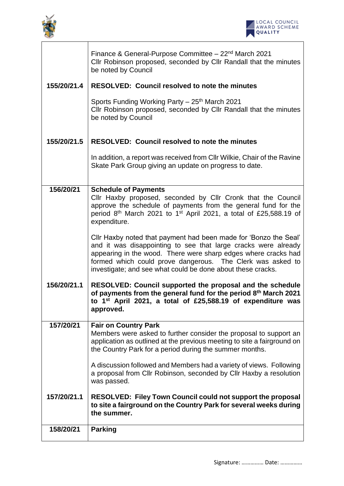



|             | Finance & General-Purpose Committee - 22 <sup>nd</sup> March 2021<br>Cllr Robinson proposed, seconded by Cllr Randall that the minutes<br>be noted by Council                                                                                                                                                                     |
|-------------|-----------------------------------------------------------------------------------------------------------------------------------------------------------------------------------------------------------------------------------------------------------------------------------------------------------------------------------|
| 155/20/21.4 | <b>RESOLVED: Council resolved to note the minutes</b>                                                                                                                                                                                                                                                                             |
|             | Sports Funding Working Party - 25 <sup>th</sup> March 2021<br>Cllr Robinson proposed, seconded by Cllr Randall that the minutes<br>be noted by Council                                                                                                                                                                            |
| 155/20/21.5 | <b>RESOLVED: Council resolved to note the minutes</b>                                                                                                                                                                                                                                                                             |
|             | In addition, a report was received from CIIr Wilkie, Chair of the Ravine<br>Skate Park Group giving an update on progress to date.                                                                                                                                                                                                |
| 156/20/21   | <b>Schedule of Payments</b><br>Cllr Haxby proposed, seconded by Cllr Cronk that the Council<br>approve the schedule of payments from the general fund for the<br>period $8th$ March 2021 to 1 <sup>st</sup> April 2021, a total of £25,588.19 of                                                                                  |
|             | expenditure.                                                                                                                                                                                                                                                                                                                      |
|             | Cllr Haxby noted that payment had been made for 'Bonzo the Seal'<br>and it was disappointing to see that large cracks were already<br>appearing in the wood. There were sharp edges where cracks had<br>formed which could prove dangerous. The Clerk was asked to<br>investigate; and see what could be done about these cracks. |
| 156/20/21.1 | RESOLVED: Council supported the proposal and the schedule<br>of payments from the general fund for the period 8th March 2021<br>to 1 <sup>st</sup> April 2021, a total of £25,588.19 of expenditure was<br>approved.                                                                                                              |
| 157/20/21   | <b>Fair on Country Park</b><br>Members were asked to further consider the proposal to support an<br>application as outlined at the previous meeting to site a fairground on<br>the Country Park for a period during the summer months.                                                                                            |
|             | A discussion followed and Members had a variety of views. Following<br>a proposal from Cllr Robinson, seconded by Cllr Haxby a resolution<br>was passed.                                                                                                                                                                          |
| 157/20/21.1 | <b>RESOLVED: Filey Town Council could not support the proposal</b><br>to site a fairground on the Country Park for several weeks during<br>the summer.                                                                                                                                                                            |
| 158/20/21   | <b>Parking</b>                                                                                                                                                                                                                                                                                                                    |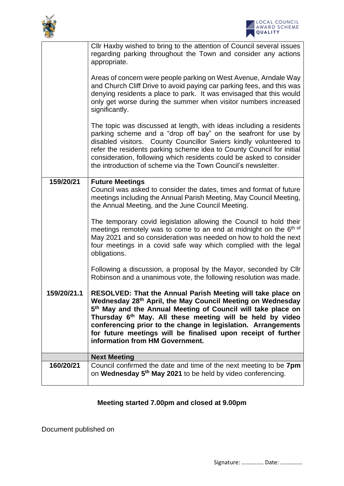



|             | Cllr Haxby wished to bring to the attention of Council several issues<br>regarding parking throughout the Town and consider any actions<br>appropriate.                                                                                                                                                                                                                                                                                             |
|-------------|-----------------------------------------------------------------------------------------------------------------------------------------------------------------------------------------------------------------------------------------------------------------------------------------------------------------------------------------------------------------------------------------------------------------------------------------------------|
|             | Areas of concern were people parking on West Avenue, Arndale Way<br>and Church Cliff Drive to avoid paying car parking fees, and this was<br>denying residents a place to park. It was envisaged that this would<br>only get worse during the summer when visitor numbers increased<br>significantly.                                                                                                                                               |
|             | The topic was discussed at length, with ideas including a residents<br>parking scheme and a "drop off bay" on the seafront for use by<br>disabled visitors. County Councillor Swiers kindly volunteered to<br>refer the residents parking scheme idea to County Council for initial<br>consideration, following which residents could be asked to consider<br>the introduction of scheme via the Town Council's newsletter.                         |
| 159/20/21   | <b>Future Meetings</b><br>Council was asked to consider the dates, times and format of future<br>meetings including the Annual Parish Meeting, May Council Meeting,<br>the Annual Meeting, and the June Council Meeting.                                                                                                                                                                                                                            |
|             | The temporary covid legislation allowing the Council to hold their<br>meetings remotely was to come to an end at midnight on the 6th of<br>May 2021 and so consideration was needed on how to hold the next<br>four meetings in a covid safe way which complied with the legal<br>obligations.                                                                                                                                                      |
|             | Following a discussion, a proposal by the Mayor, seconded by Cllr<br>Robinson and a unanimous vote, the following resolution was made.                                                                                                                                                                                                                                                                                                              |
| 159/20/21.1 | RESOLVED: That the Annual Parish Meeting will take place on<br>Wednesday 28th April, the May Council Meeting on Wednesday<br>5 <sup>th</sup> May and the Annual Meeting of Council will take place on<br>Thursday 6 <sup>th</sup> May. All these meeting will be held by video<br>conferencing prior to the change in legislation. Arrangements<br>for future meetings will be finalised upon receipt of further<br>information from HM Government. |
|             | <b>Next Meeting</b>                                                                                                                                                                                                                                                                                                                                                                                                                                 |
| 160/20/21   | Council confirmed the date and time of the next meeting to be 7pm<br>on Wednesday 5 <sup>th</sup> May 2021 to be held by video conferencing.                                                                                                                                                                                                                                                                                                        |

## **Meeting started 7.00pm and closed at 9.00pm**

Document published on